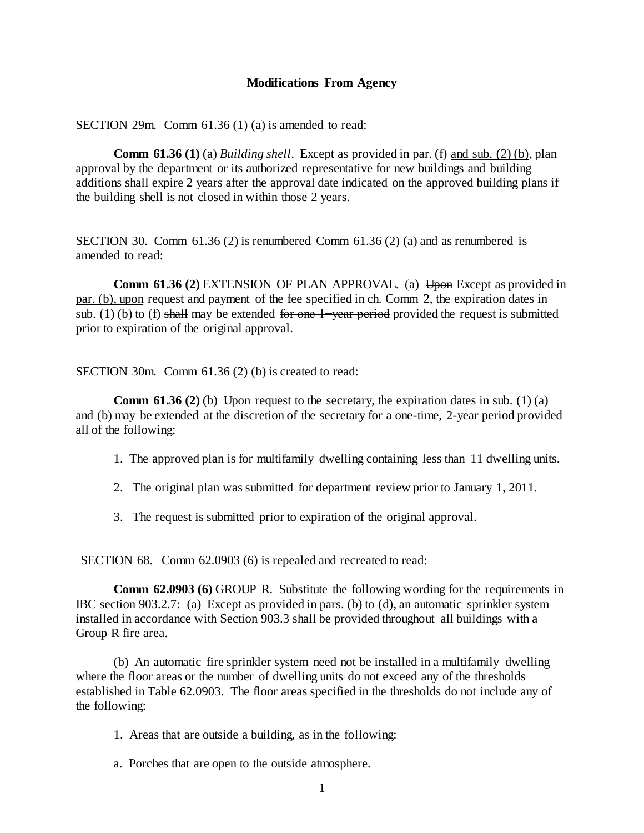## **Modifications From Agency**

SECTION 29m. Comm 61.36 (1) (a) is amended to read:

**Comm 61.36 (1)** (a) *Building shell*. Except as provided in par. (f) and sub. (2) (b), plan approval by the department or its authorized representative for new buildings and building additions shall expire 2 years after the approval date indicated on the approved building plans if the building shell is not closed in within those 2 years.

SECTION 30. Comm  $61.36$  (2) is renumbered Comm  $61.36$  (2) (a) and as renumbered is amended to read:

**Comm 61.36 (2) EXTENSION OF PLAN APPROVAL.** (a) Upon Except as provided in par. (b), upon request and payment of the fee specified in ch. Comm 2, the expiration dates in sub. (1) (b) to (f) shall may be extended for one 1–year period provided the request is submitted prior to expiration of the original approval.

SECTION 30m. Comm 61.36 (2) (b) is created to read:

**Comm 61.36 (2) (b)** Upon request to the secretary, the expiration dates in sub. (1) (a) and (b) may be extended at the discretion of the secretary for a one-time, 2-year period provided all of the following:

- 1. The approved plan is for multifamily dwelling containing less than 11 dwelling units.
- 2. The original plan was submitted for department review prior to January 1, 2011.
- 3. The request is submitted prior to expiration of the original approval.

SECTION 68. Comm 62.0903 (6) is repealed and recreated to read:

**Comm 62.0903 (6)** GROUP R. Substitute the following wording for the requirements in IBC section 903.2.7: (a) Except as provided in pars. (b) to (d), an automatic sprinkler system installed in accordance with Section 903.3 shall be provided throughout all buildings with a Group R fire area.

(b) An automatic fire sprinkler system need not be installed in a multifamily dwelling where the floor areas or the number of dwelling units do not exceed any of the thresholds established in Table 62.0903. The floor areas specified in the thresholds do not include any of the following:

- 1. Areas that are outside a building, as in the following:
- a. Porches that are open to the outside atmosphere.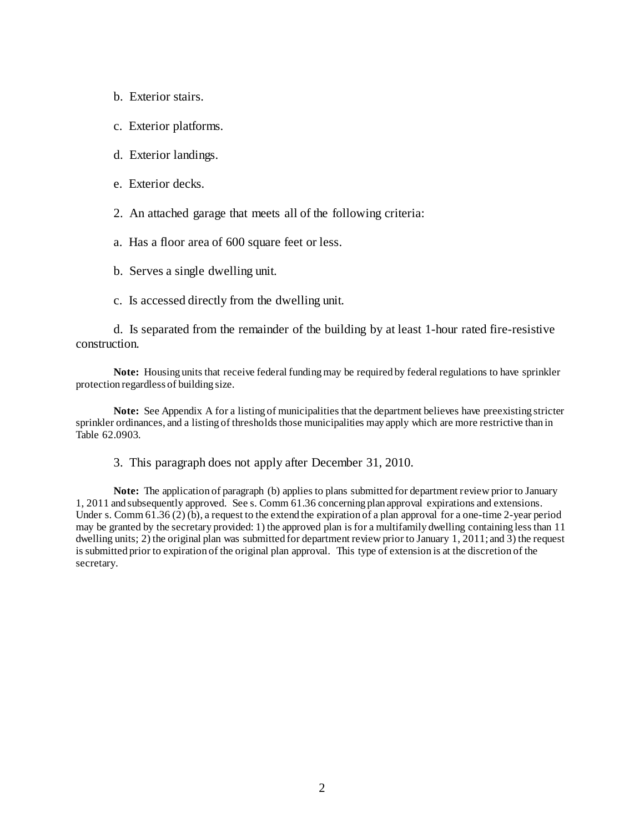- b. Exterior stairs.
- c. Exterior platforms.
- d. Exterior landings.
- e. Exterior decks.
- 2. An attached garage that meets all of the following criteria:
- a. Has a floor area of 600 square feet or less.
- b. Serves a single dwelling unit.
- c. Is accessed directly from the dwelling unit.

d. Is separated from the remainder of the building by at least 1-hour rated fire-resistive construction.

**Note:** Housing units that receive federal funding may be required by federal regulations to have sprinkler protection regardless of building size.

**Note:** See Appendix A for a listing of municipalities that the department believes have preexisting stricter sprinkler ordinances, and a listing of thresholds those municipalities may apply which are more restrictive than in Table 62.0903.

3. This paragraph does not apply after December 31, 2010.

**Note:** The application of paragraph (b) applies to plans submitted for department review prior to January 1, 2011 and subsequently approved. See s. Comm 61.36 concerning plan approval expirations and extensions. Under s. Comm  $61.36(2)(b)$ , a request to the extend the expiration of a plan approval for a one-time 2-year period may be granted by the secretary provided: 1) the approved plan is for a multifamily dwelling containing less than 11 dwelling units; 2) the original plan was submitted for department review prior to January 1, 2011; and 3) the request is submitted prior to expiration of the original plan approval. This type of extension is at the discretion of the secretary.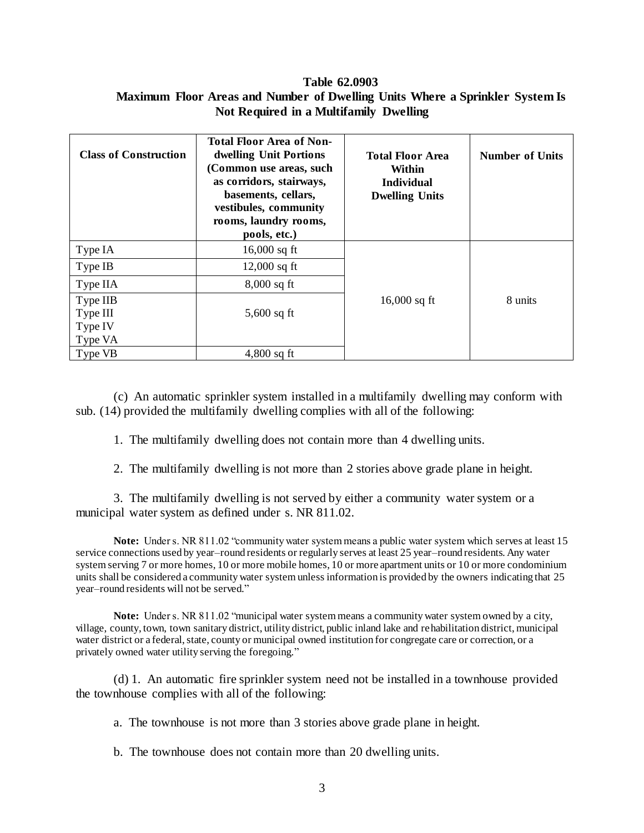## **Table 62.0903 Maximum Floor Areas and Number of Dwelling Units Where a Sprinkler System Is Not Required in a Multifamily Dwelling**

| <b>Class of Construction</b> | <b>Total Floor Area of Non-</b><br>dwelling Unit Portions<br>(Common use areas, such<br>as corridors, stairways,<br>basements, cellars,<br>vestibules, community<br>rooms, laundry rooms,<br>pools, etc.) | <b>Total Floor Area</b><br>Within<br><b>Individual</b><br><b>Dwelling Units</b> | <b>Number of Units</b> |
|------------------------------|-----------------------------------------------------------------------------------------------------------------------------------------------------------------------------------------------------------|---------------------------------------------------------------------------------|------------------------|
| Type IA                      | 16,000 sq ft                                                                                                                                                                                              |                                                                                 |                        |
| Type IB                      | $12,000$ sq ft                                                                                                                                                                                            |                                                                                 |                        |
| Type IIA                     | $8,000$ sq ft                                                                                                                                                                                             |                                                                                 |                        |
| Type IIB                     |                                                                                                                                                                                                           | 16,000 sq ft                                                                    | 8 units                |
| Type III                     | $5,600$ sq ft                                                                                                                                                                                             |                                                                                 |                        |
| Type IV                      |                                                                                                                                                                                                           |                                                                                 |                        |
| Type VA                      |                                                                                                                                                                                                           |                                                                                 |                        |
| Type VB                      | $4,800$ sq ft                                                                                                                                                                                             |                                                                                 |                        |

(c) An automatic sprinkler system installed in a multifamily dwelling may conform with sub. (14) provided the multifamily dwelling complies with all of the following:

1. The multifamily dwelling does not contain more than 4 dwelling units.

2. The multifamily dwelling is not more than 2 stories above grade plane in height.

3. The multifamily dwelling is not served by either a community water system or a municipal water system as defined under s. NR 811.02.

**Note:** Under s. NR 811.02 "community water system means a public water system which serves at least 15 service connections used by year–round residents or regularly serves at least 25 year–round residents. Any water system serving 7 or more homes, 10 or more mobile homes, 10 or more apartment units or 10 or more condominium units shall be considered a community water system unless information is provided by the owners indicating that 25 year–round residents will not be served."

**Note:** Under s. NR 811.02 "municipal water system means a community water system owned by a city, village, county, town, town sanitary district, utility district, public inland lake and rehabilitation district, municipal water district or a federal, state, county or municipal owned institution for congregate care or correction, or a privately owned water utility serving the foregoing."

(d) 1. An automatic fire sprinkler system need not be installed in a townhouse provided the townhouse complies with all of the following:

a. The townhouse is not more than 3 stories above grade plane in height.

b. The townhouse does not contain more than 20 dwelling units.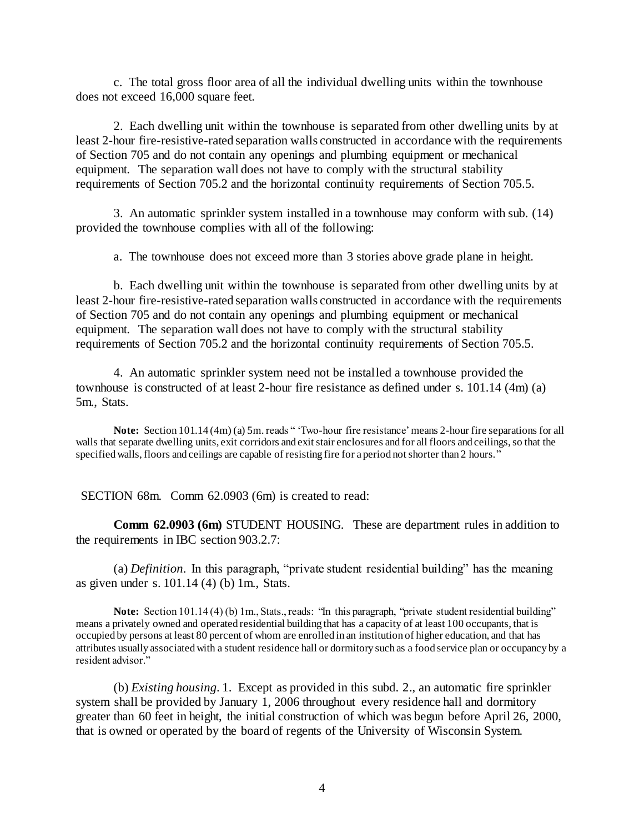c. The total gross floor area of all the individual dwelling units within the townhouse does not exceed 16,000 square feet.

2. Each dwelling unit within the townhouse is separated from other dwelling units by at least 2-hour fire-resistive-rated separation walls constructed in accordance with the requirements of Section 705 and do not contain any openings and plumbing equipment or mechanical equipment. The separation wall does not have to comply with the structural stability requirements of Section 705.2 and the horizontal continuity requirements of Section 705.5.

3. An automatic sprinkler system installed in a townhouse may conform with sub. (14) provided the townhouse complies with all of the following:

a. The townhouse does not exceed more than 3 stories above grade plane in height.

b. Each dwelling unit within the townhouse is separated from other dwelling units by at least 2-hour fire-resistive-rated separation walls constructed in accordance with the requirements of Section 705 and do not contain any openings and plumbing equipment or mechanical equipment. The separation wall does not have to comply with the structural stability requirements of Section 705.2 and the horizontal continuity requirements of Section 705.5.

4. An automatic sprinkler system need not be installed a townhouse provided the townhouse is constructed of at least 2-hour fire resistance as defined under s. 101.14 (4m) (a) 5m., Stats.

**Note:** Section 101.14 (4m) (a) 5m.reads " 'Two-hour fire resistance' means 2-hour fire separations for all walls that separate dwelling units, exit corridors and exit stair enclosures and for all floors and ceilings, so that the specified walls, floors and ceilings are capable of resisting fire for a period not shorter than 2 hours."

SECTION 68m. Comm 62.0903 (6m) is created to read:

**Comm 62.0903 (6m)** STUDENT HOUSING. These are department rules in addition to the requirements in IBC section 903.2.7:

(a) *Definition*. In this paragraph, "private student residential building" has the meaning as given under s. 101.14 (4) (b) 1m., Stats.

**Note:** Section 101.14 (4) (b) 1m., Stats., reads: "In this paragraph, "private student residential building" means a privately owned and operated residential building that has a capacity of at least 100 occupants, that is occupied by persons at least 80 percent of whom are enrolled in an institution of higher education, and that has attributes usually associated with a student residence hall or dormitory such as a food service plan or occupancy by a resident advisor."

(b) *Existing housing*. 1. Except as provided in this subd. 2., an automatic fire sprinkler system shall be provided by January 1, 2006 throughout every residence hall and dormitory greater than 60 feet in height, the initial construction of which was begun before April 26, 2000, that is owned or operated by the board of regents of the University of Wisconsin System.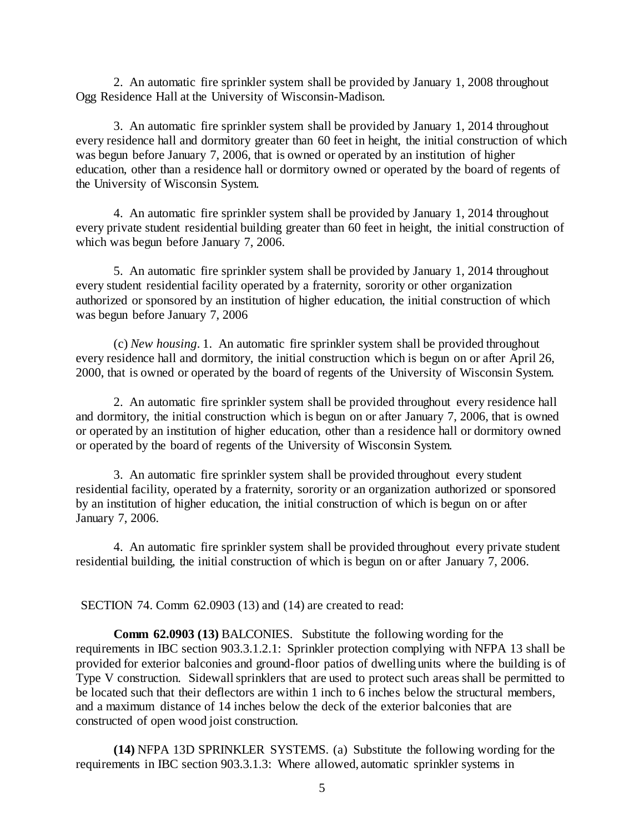2. An automatic fire sprinkler system shall be provided by January 1, 2008 throughout Ogg Residence Hall at the University of Wisconsin-Madison.

3. An automatic fire sprinkler system shall be provided by January 1, 2014 throughout every residence hall and dormitory greater than 60 feet in height, the initial construction of which was begun before January 7, 2006, that is owned or operated by an institution of higher education, other than a residence hall or dormitory owned or operated by the board of regents of the University of Wisconsin System.

4. An automatic fire sprinkler system shall be provided by January 1, 2014 throughout every private student residential building greater than 60 feet in height, the initial construction of which was begun before January 7, 2006.

5. An automatic fire sprinkler system shall be provided by January 1, 2014 throughout every student residential facility operated by a fraternity, sorority or other organization authorized or sponsored by an institution of higher education, the initial construction of which was begun before January 7, 2006

(c) *New housing*. 1. An automatic fire sprinkler system shall be provided throughout every residence hall and dormitory, the initial construction which is begun on or after April 26, 2000, that is owned or operated by the board of regents of the University of Wisconsin System.

2. An automatic fire sprinkler system shall be provided throughout every residence hall and dormitory, the initial construction which is begun on or after January 7, 2006, that is owned or operated by an institution of higher education, other than a residence hall or dormitory owned or operated by the board of regents of the University of Wisconsin System.

3. An automatic fire sprinkler system shall be provided throughout every student residential facility, operated by a fraternity, sorority or an organization authorized or sponsored by an institution of higher education, the initial construction of which is begun on or after January 7, 2006.

4. An automatic fire sprinkler system shall be provided throughout every private student residential building, the initial construction of which is begun on or after January 7, 2006.

SECTION 74. Comm 62.0903 (13) and (14) are created to read:

**Comm 62.0903 (13)** BALCONIES. Substitute the following wording for the requirements in IBC section 903.3.1.2.1: Sprinkler protection complying with NFPA 13 shall be provided for exterior balconies and ground-floor patios of dwelling units where the building is of Type V construction. Sidewall sprinklers that are used to protect such areas shall be permitted to be located such that their deflectors are within 1 inch to 6 inches below the structural members, and a maximum distance of 14 inches below the deck of the exterior balconies that are constructed of open wood joist construction.

**(14)** NFPA 13D SPRINKLER SYSTEMS. (a) Substitute the following wording for the requirements in IBC section 903.3.1.3: Where allowed, automatic sprinkler systems in